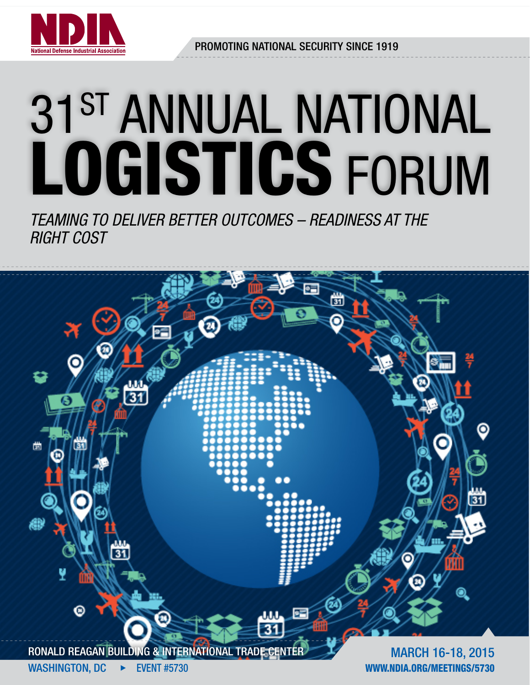

Promoting National Security Since 1919

# 31st annual National logistics Forum

*Teaming to Deliver Better Outcomes – Readiness at the Right Cost*

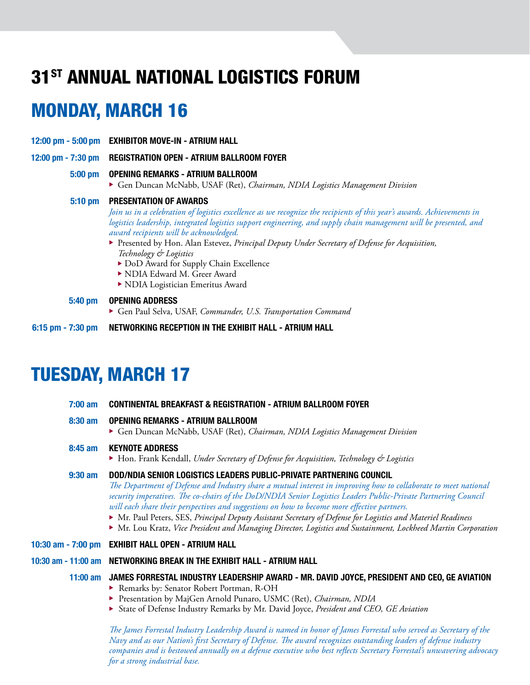# 31st annual national logistics forum

# monday, March 16

- 12:00 pm 5:00 pm exhibitor move-in atrium hall
- 12:00 pm 7:30 pm REGISTRATION OPEN ATRIUM BALLROOM FOYER

#### 5:00 pm opening Remarks - atrium ballroom

<sup>u</sup> Gen Duncan McNabb, USAF (Ret), *Chairman, NDIA Logistics Management Division* 

#### 5:10 pm Presentation of awards

 *Join us in a celebration of logistics excellence as we recognize the recipients of this year's awards. Achievements in logistics leadership, integrated logistics support engineering, and supply chain management will be presented, and award recipients will be acknowledged.* 

- ▶ Presented by Hon. Alan Estevez, *Principal Deputy Under Secretary of Defense for Acquisition*,  *Technology & Logistics* 
	- DoD Award for Supply Chain Excellence
	- ▶ NDIA Edward M. Greer Award
	- $\blacktriangleright$  NDIA Logistician Emeritus Award

#### 5:40 pm opening Address

- Gen Paul Selva, USAF, *Commander, U.S. Transportation Command*
- 6:15 pm 7:30 pm networking reception in the Exhibit hall Atrium Hall

# tuesday, March 17

| $7:00 \text{ am}$ | <b>CONTINENTAL BREAKFAST &amp; REGISTRATION - ATRIUM BALLROOM FOYER</b>                                                                                                                                                                                                                                                                                                                                                                                                                                                                                                                                                                 |
|-------------------|-----------------------------------------------------------------------------------------------------------------------------------------------------------------------------------------------------------------------------------------------------------------------------------------------------------------------------------------------------------------------------------------------------------------------------------------------------------------------------------------------------------------------------------------------------------------------------------------------------------------------------------------|
| $8:30$ am         | <b>OPENING REMARKS - ATRIUM BALLROOM</b><br>Gen Duncan McNabb, USAF (Ret), Chairman, NDIA Logistics Management Division                                                                                                                                                                                                                                                                                                                                                                                                                                                                                                                 |
| $8:45$ am         | <b>KEYNOTE ADDRESS</b><br>$\blacktriangleright$ Hon. Frank Kendall, Under Secretary of Defense for Acquisition, Technology & Logistics                                                                                                                                                                                                                                                                                                                                                                                                                                                                                                  |
| $9:30$ am         | DOD/NDIA SENIOR LOGISTICS LEADERS PUBLIC-PRIVATE PARTNERING COUNCIL<br>The Department of Defense and Industry share a mutual interest in improving how to collaborate to meet national<br>security imperatives. The co-chairs of the DoD/NDIA Senior Logistics Leaders Public-Private Partnering Council<br>will each share their perspectives and suggestions on how to become more effective partners.<br>• Mr. Paul Peters, SES, Principal Deputy Assistant Secretary of Defense for Logistics and Materiel Readiness<br>Mr. Lou Kratz, Vice President and Managing Director, Logistics and Sustainment, Lockheed Martin Corporation |
|                   | 10:30 am - 7:00 pm EXHIBIT HALL OPEN - ATRIUM HALL                                                                                                                                                                                                                                                                                                                                                                                                                                                                                                                                                                                      |
|                   | 10:30 am - 11:00 am    NETWORKING BREAK IN THE EXHIBIT HALL - ATRIUM HALL                                                                                                                                                                                                                                                                                                                                                                                                                                                                                                                                                               |
|                   | 11:00 am JAMES FORRESTAL INDUSTRY LEADERSHIP AWARD - MR. DAVID JOYCE, PRESIDENT AND CEO, GE AVIATION<br>Remarks by: Senator Robert Portman, R-OH<br>Presentation by MajGen Arnold Punaro, USMC (Ret), Chairman, NDIA<br>State of Defense Industry Remarks by Mr. David Joyce, President and CEO, GE Aviation<br>The James Forrestal Industry Leadership Award is named in honor of James Forrestal who served as Secretary of the                                                                                                                                                                                                       |

*The James Forrestal Industry Leadership Award is named in honor of James Forrestal who served as Secretary of the Navy and as our Nation's first Secretary of Defense. The award recognizes outstanding leaders of defense industry companies and is bestowed annually on a defense executive who best reflects Secretary Forrestal's unwavering advocacy for a strong industrial base.*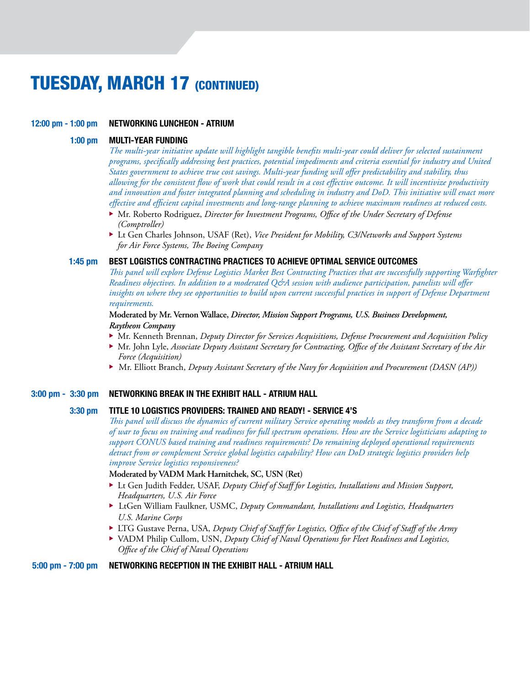# **TUESDAY, MARCH 17 (CONTINUED)**

## 12:00 pm - 1:00 pm NETWORKING LUNCHEON - ATRIUM

## 1:00 pm Multi-Year Funding

 *The multi-year initiative update will highlight tangible benefits multi-year could deliver for selected sustainment programs, specifically addressing best practices, potential impediments and criteria essential for industry and United States government to achieve true cost savings. Multi-year funding will offer predictability and stability, thus allowing for the consistent flow of work that could result in a cost effective outcome. It will incentivize productivity and innovation and foster integrated planning and scheduling in industry and DoD. This initiative will enact more effective and efficient capital investments and long-range planning to achieve maximum readiness at reduced costs.*

- ▶ Mr. Roberto Rodriguez, *Director for Investment Programs, Office of the Under Secretary of Defense (Comptroller)*
- ▶ Lt Gen Charles Johnson, USAF (Ret), *Vice President for Mobility, C3/Networks and Support Systems for Air Force Systems, The Boeing Company*

# 1:45 pm Best Logistics Contracting Practices to Achieve Optimal Service outcomes

 *This panel will explore Defense Logistics Market Best Contracting Practices that are successfully supporting Warfighter Readiness objectives. In addition to a moderated Q&A session with audience participation, panelists will offer insights on where they see opportunities to build upon current successful practices in support of Defense Department requirements.*

 **Moderated by Mr. Vernon Wallace,** *Director, Mission Support Programs, U.S. Business Development, Raytheon Company*

- ▶ Mr. Kenneth Brennan, *Deputy Director for Services Acquisitions, Defense Procurement and Acquisition Policy*
- ▶ Mr. John Lyle, *Associate Deputy Assistant Secretary for Contracting, Office of the Assistant Secretary of the Air Force (Acquisition)*
- <sup>u</sup> Mr. Elliott Branch, *Deputy Assistant Secretary of the Navy for Acquisition and Procurement (DASN (AP))*

#### 3:00 pm - 3:30 pm networking break in the exhibit hall - Atrium Hall

#### 3:30 pm Title 10 Logistics Providers: Trained and Ready! - Service 4'S

 *This panel will discuss the dynamics of current military Service operating models as they transform from a decade of war to focus on training and readiness for full spectrum operations. How are the Service logisticians adapting to support CONUS based training and readiness requirements? Do remaining deployed operational requirements detract from or complement Service global logistics capability? How can DoD strategic logistics providers help improve Service logistics responsiveness?*

#### **Moderated by VADM Mark Harnitchek, SC, USN (Ret)**

- **Lt Gen Judith Fedder, USAF,** *Deputy Chief of Staff for Logistics, Installations and Mission Support, Headquarters, U.S. Air Force*
- ▶ LtGen William Faulkner, USMC, *Deputy Commandant, Installations and Logistics, Headquarters U.S. Marine Corps*
- <sup>u</sup> LTG Gustave Perna, USA, *Deputy Chief of Staff for Logistics, Office of the Chief of Staff of the Army*
- ▶ VADM Philip Cullom, USN, *Deputy Chief of Naval Operations for Fleet Readiness and Logistics*,  *Office of the Chief of Naval Operations*

# 5:00 pm - 7:00 pm networking reception in the Exhibit hall - Atrium Hall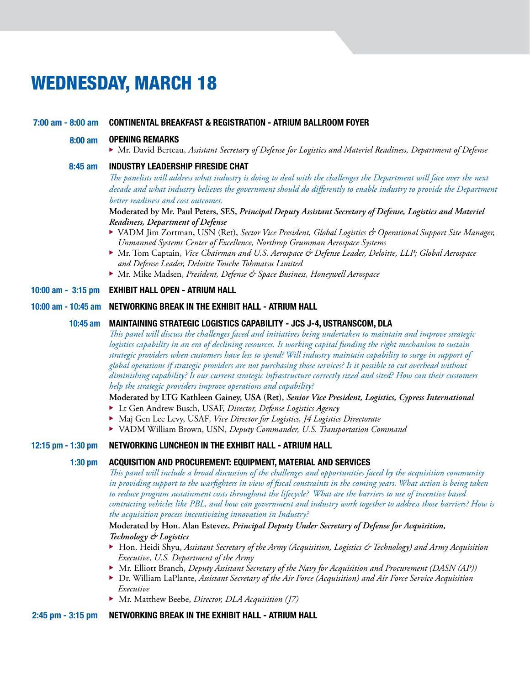# wednesday, March 18

#### 7:00 am - 8:00 am Continental breakfast & registration - atrium ballroom foyer

#### 8:00 am Opening Remarks

▶ Mr. David Berteau, *Assistant Secretary of Defense for Logistics and Materiel Readiness, Department of Defense* 

## 8:45 am industry leadership fireside chat

 *The panelists will address what industry is doing to deal with the challenges the Department will face over the next*  decade and what industry believes the government should do differently to enable industry to provide the Department *better readiness and cost outcomes.*

## **Moderated by Mr. Paul Peters, SES,** *Principal Deputy Assistant Secretary of Defense, Logistics and Materiel Readiness, Department of Defense*

- ▶ VADM Jim Zortman, USN (Ret), *Sector Vice President, Global Logistics & Operational Support Site Manager*, *Unmanned Systems Center of Excellence, Northrop Grumman Aerospace Systems*
- ▶ Mr. Tom Captain, *Vice Chairman and U.S. Aerospace & Defense Leader, Deloitte, LLP; Global Aerospace and Defense Leader, Deloitte Touche Tohmatsu Limited*
- ▶ Mr. Mike Madsen, *President, Defense & Space Business, Honeywell Aerospace*

## 10:00 am - 3:15 pm exhibit hall open - Atrium Hall

#### 10:00 am - 10:45 am networking break in the exhibit hall - Atrium Hall

#### 10:45 am Maintaining Strategic Logistics Capability - JCS J-4, USTRANSCOM, DLA

 *This panel will discuss the challenges faced and initiatives being undertaken to maintain and improve strategic logistics capability in an era of declining resources. Is working capital funding the right mechanism to sustain strategic providers when customers have less to spend? Will industry maintain capability to surge in support of global operations if strategic providers are not purchasing those services? Is it possible to cut overhead without diminishing capability? Is our current strategic infrastructure correctly sized and sited? How can their customers help the strategic providers improve operations and capability?* 

## **Moderated by LTG Kathleen Gainey, USA (Ret),** *Senior Vice President, Logistics, Cypress International*

- ▶ Lt Gen Andrew Busch, USAF, *Director, Defense Logistics Agency*
- ▶ Maj Gen Lee Levy, USAF, Vice Director for Logistics, J4 Logistics Directorate
- ▶ VADM William Brown, USN, *Deputy Commander, U.S. Transportation Command*

#### 12:15 pm - 1:30 pm networking luncheon in the exhibit hall - Atrium Hall

## 1:30 pm Acquisition and Procurement: Equipment, Material and Services

 *This panel will include a broad discussion of the challenges and opportunities faced by the acquisition community in providing support to the warfighters in view of fiscal constraints in the coming years. What action is being taken to reduce program sustainment costs throughout the lifecycle? What are the barriers to use of incentive based contracting vehicles like PBL, and how can government and industry work together to address those barriers? How is the acquisition process incentivizing innovation in Industry?* 

# **Moderated by Hon. Alan Estevez,** *Principal Deputy Under Secretary of Defense for Acquisition, Technology & Logistics*

- ▶ Hon. Heidi Shyu, *Assistant Secretary of the Army (Acquisition, Logistics & Technology) and Army Acquisition Executive, U.S. Department of the Army*
- ► Mr. Elliott Branch, *Deputy Assistant Secretary of the Navy for Acquisition and Procurement (DASN (AP))*
- ▶ Dr. William LaPlante, *Assistant Secretary of the Air Force (Acquisition) and Air Force Service Acquisition Executive*
- ▶ Mr. Matthew Beebe, *Director, DLA Acquisition (J7)*

#### 2:45 pm - 3:15 pm networking break in the exhibit hall - Atrium Hall